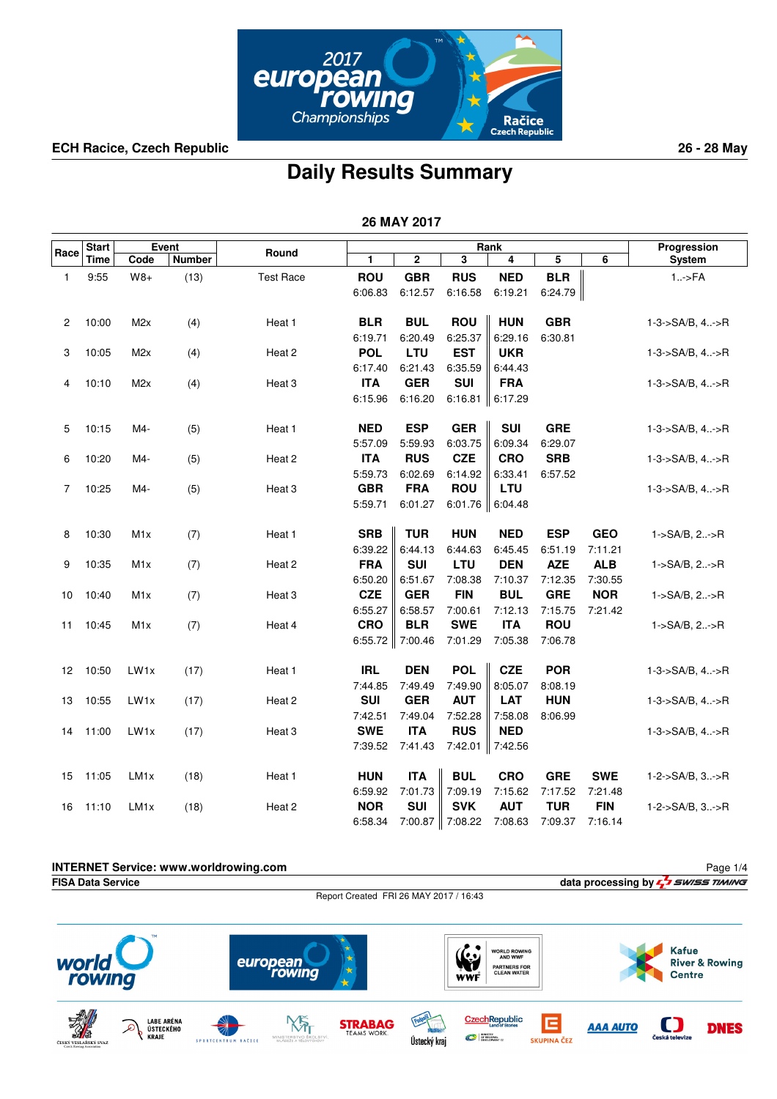

## **Daily Results Summary**

 **26 MAY 2017**

| $\overline{\mathbf{3}}$<br>$\mathbf 2$<br>5<br>6<br>Time<br>Code<br>Number<br>1<br>System<br>4<br><b>ROU</b><br><b>GBR</b><br><b>BLR</b><br><b>RUS</b><br><b>NED</b><br>9:55<br>$W8+$<br>(13)<br><b>Test Race</b><br>$1.-$ >FA<br>1<br>6:19.21<br>6:06.83<br>6:12.57<br>6:16.58<br>6:24.79<br><b>BLR</b><br><b>BUL</b><br><b>ROU</b><br><b>HUN</b><br><b>GBR</b><br>10:00<br>M <sub>2</sub> x<br>(4)<br>Heat 1<br>$1 - 3 - S A/B$ , $4 - S R$<br>2<br>6:25.37<br>6:19.71<br>6:20.49<br>6:29.16<br>6:30.81<br><b>POL</b><br><b>EST</b><br>LTU<br><b>UKR</b><br>1-3->SA/B, 4->R<br>3<br>10:05<br>M <sub>2</sub> x<br>(4)<br>Heat 2<br>6:17.40<br>6:21.43<br>6:35.59<br>6:44.43<br><b>ITA</b><br><b>GER</b><br><b>SUI</b><br><b>FRA</b><br>10:10<br>M2x<br>(4)<br>Heat 3<br>$1-3->SA/B, 4:-\gt R$<br>4<br>6:15.96<br>6:16.20<br>6:16.81<br>6:17.29<br><b>NED</b><br><b>ESP</b><br><b>GER</b><br><b>SUI</b><br><b>GRE</b><br>10:15<br>M4-<br>(5)<br>Heat 1<br>$1-3-$ >SA/B, $4-$ >R<br>5<br>5:57.09<br>5:59.93<br>6:03.75<br>6:09.34<br>6:29.07<br><b>ITA</b><br><b>RUS</b><br><b>CZE</b><br><b>CRO</b><br><b>SRB</b><br>10:20<br>$1-3-$ >SA/B, $4-$ >R<br>6<br>M4-<br>(5)<br>Heat 2<br>5:59.73<br>6:02.69<br>6:14.92<br>6:33.41<br>6:57.52<br><b>GBR</b><br><b>FRA</b><br><b>ROU</b><br><b>LTU</b><br>$1-3-$ >SA/B, $4-$ >R<br>7<br>10:25<br>M4-<br>(5)<br>Heat 3<br>5:59.71<br>6:01.27<br>6:01.76<br>6:04.48<br><b>SRB</b><br><b>TUR</b><br><b>HUN</b><br><b>NED</b><br><b>ESP</b><br><b>GEO</b><br>10:30<br>M <sub>1</sub> x<br>Heat 1<br>1->SA/B, 2->R<br>8<br>(7)<br>6:39.22<br>6:44.13<br>6:44.63<br>6:45.45<br>6:51.19<br>7:11.21<br><b>FRA</b><br><b>SUI</b><br><b>DEN</b><br><b>ALB</b><br>10:35<br>LTU<br><b>AZE</b><br>9<br>M <sub>1</sub> x<br>(7)<br>1->SA/B, 2->R<br>Heat 2<br>6:50.20<br>6:51.67<br>7:08.38<br>7:10.37<br>7:12.35<br>7:30.55<br><b>CZE</b><br><b>GER</b><br><b>FIN</b><br><b>BUL</b><br><b>GRE</b><br><b>NOR</b><br>10:40<br>M <sub>1</sub> x<br>(7)<br>1->SA/B, 2->R<br>10<br>Heat 3<br>7:12.13<br>6:55.27<br>6:58.57<br>7:00.61<br>7:15.75<br>7:21.42<br><b>CRO</b><br><b>BLR</b><br><b>ITA</b><br><b>ROU</b><br><b>SWE</b><br>10:45<br>M <sub>1</sub> x<br>(7)<br>Heat 4<br>1->SA/B, 2->R<br>11<br>7:05.38<br>6:55.72   7:00.46<br>7:01.29<br>7:06.78 |      | <b>Start</b> | Event |       | Rank |  |  |  | Progression |  |
|-------------------------------------------------------------------------------------------------------------------------------------------------------------------------------------------------------------------------------------------------------------------------------------------------------------------------------------------------------------------------------------------------------------------------------------------------------------------------------------------------------------------------------------------------------------------------------------------------------------------------------------------------------------------------------------------------------------------------------------------------------------------------------------------------------------------------------------------------------------------------------------------------------------------------------------------------------------------------------------------------------------------------------------------------------------------------------------------------------------------------------------------------------------------------------------------------------------------------------------------------------------------------------------------------------------------------------------------------------------------------------------------------------------------------------------------------------------------------------------------------------------------------------------------------------------------------------------------------------------------------------------------------------------------------------------------------------------------------------------------------------------------------------------------------------------------------------------------------------------------------------------------------------------------------------------------------------------------------------------------------------------------------------------------------------------------------------------------------------------------------------------------------------------------------------------------------------------------------------------------------------------------------------------|------|--------------|-------|-------|------|--|--|--|-------------|--|
|                                                                                                                                                                                                                                                                                                                                                                                                                                                                                                                                                                                                                                                                                                                                                                                                                                                                                                                                                                                                                                                                                                                                                                                                                                                                                                                                                                                                                                                                                                                                                                                                                                                                                                                                                                                                                                                                                                                                                                                                                                                                                                                                                                                                                                                                                     | Race |              |       | Round |      |  |  |  |             |  |
|                                                                                                                                                                                                                                                                                                                                                                                                                                                                                                                                                                                                                                                                                                                                                                                                                                                                                                                                                                                                                                                                                                                                                                                                                                                                                                                                                                                                                                                                                                                                                                                                                                                                                                                                                                                                                                                                                                                                                                                                                                                                                                                                                                                                                                                                                     |      |              |       |       |      |  |  |  |             |  |
|                                                                                                                                                                                                                                                                                                                                                                                                                                                                                                                                                                                                                                                                                                                                                                                                                                                                                                                                                                                                                                                                                                                                                                                                                                                                                                                                                                                                                                                                                                                                                                                                                                                                                                                                                                                                                                                                                                                                                                                                                                                                                                                                                                                                                                                                                     |      |              |       |       |      |  |  |  |             |  |
|                                                                                                                                                                                                                                                                                                                                                                                                                                                                                                                                                                                                                                                                                                                                                                                                                                                                                                                                                                                                                                                                                                                                                                                                                                                                                                                                                                                                                                                                                                                                                                                                                                                                                                                                                                                                                                                                                                                                                                                                                                                                                                                                                                                                                                                                                     |      |              |       |       |      |  |  |  |             |  |
|                                                                                                                                                                                                                                                                                                                                                                                                                                                                                                                                                                                                                                                                                                                                                                                                                                                                                                                                                                                                                                                                                                                                                                                                                                                                                                                                                                                                                                                                                                                                                                                                                                                                                                                                                                                                                                                                                                                                                                                                                                                                                                                                                                                                                                                                                     |      |              |       |       |      |  |  |  |             |  |
|                                                                                                                                                                                                                                                                                                                                                                                                                                                                                                                                                                                                                                                                                                                                                                                                                                                                                                                                                                                                                                                                                                                                                                                                                                                                                                                                                                                                                                                                                                                                                                                                                                                                                                                                                                                                                                                                                                                                                                                                                                                                                                                                                                                                                                                                                     |      |              |       |       |      |  |  |  |             |  |
|                                                                                                                                                                                                                                                                                                                                                                                                                                                                                                                                                                                                                                                                                                                                                                                                                                                                                                                                                                                                                                                                                                                                                                                                                                                                                                                                                                                                                                                                                                                                                                                                                                                                                                                                                                                                                                                                                                                                                                                                                                                                                                                                                                                                                                                                                     |      |              |       |       |      |  |  |  |             |  |
|                                                                                                                                                                                                                                                                                                                                                                                                                                                                                                                                                                                                                                                                                                                                                                                                                                                                                                                                                                                                                                                                                                                                                                                                                                                                                                                                                                                                                                                                                                                                                                                                                                                                                                                                                                                                                                                                                                                                                                                                                                                                                                                                                                                                                                                                                     |      |              |       |       |      |  |  |  |             |  |
|                                                                                                                                                                                                                                                                                                                                                                                                                                                                                                                                                                                                                                                                                                                                                                                                                                                                                                                                                                                                                                                                                                                                                                                                                                                                                                                                                                                                                                                                                                                                                                                                                                                                                                                                                                                                                                                                                                                                                                                                                                                                                                                                                                                                                                                                                     |      |              |       |       |      |  |  |  |             |  |
|                                                                                                                                                                                                                                                                                                                                                                                                                                                                                                                                                                                                                                                                                                                                                                                                                                                                                                                                                                                                                                                                                                                                                                                                                                                                                                                                                                                                                                                                                                                                                                                                                                                                                                                                                                                                                                                                                                                                                                                                                                                                                                                                                                                                                                                                                     |      |              |       |       |      |  |  |  |             |  |
|                                                                                                                                                                                                                                                                                                                                                                                                                                                                                                                                                                                                                                                                                                                                                                                                                                                                                                                                                                                                                                                                                                                                                                                                                                                                                                                                                                                                                                                                                                                                                                                                                                                                                                                                                                                                                                                                                                                                                                                                                                                                                                                                                                                                                                                                                     |      |              |       |       |      |  |  |  |             |  |
|                                                                                                                                                                                                                                                                                                                                                                                                                                                                                                                                                                                                                                                                                                                                                                                                                                                                                                                                                                                                                                                                                                                                                                                                                                                                                                                                                                                                                                                                                                                                                                                                                                                                                                                                                                                                                                                                                                                                                                                                                                                                                                                                                                                                                                                                                     |      |              |       |       |      |  |  |  |             |  |
|                                                                                                                                                                                                                                                                                                                                                                                                                                                                                                                                                                                                                                                                                                                                                                                                                                                                                                                                                                                                                                                                                                                                                                                                                                                                                                                                                                                                                                                                                                                                                                                                                                                                                                                                                                                                                                                                                                                                                                                                                                                                                                                                                                                                                                                                                     |      |              |       |       |      |  |  |  |             |  |
|                                                                                                                                                                                                                                                                                                                                                                                                                                                                                                                                                                                                                                                                                                                                                                                                                                                                                                                                                                                                                                                                                                                                                                                                                                                                                                                                                                                                                                                                                                                                                                                                                                                                                                                                                                                                                                                                                                                                                                                                                                                                                                                                                                                                                                                                                     |      |              |       |       |      |  |  |  |             |  |
|                                                                                                                                                                                                                                                                                                                                                                                                                                                                                                                                                                                                                                                                                                                                                                                                                                                                                                                                                                                                                                                                                                                                                                                                                                                                                                                                                                                                                                                                                                                                                                                                                                                                                                                                                                                                                                                                                                                                                                                                                                                                                                                                                                                                                                                                                     |      |              |       |       |      |  |  |  |             |  |
|                                                                                                                                                                                                                                                                                                                                                                                                                                                                                                                                                                                                                                                                                                                                                                                                                                                                                                                                                                                                                                                                                                                                                                                                                                                                                                                                                                                                                                                                                                                                                                                                                                                                                                                                                                                                                                                                                                                                                                                                                                                                                                                                                                                                                                                                                     |      |              |       |       |      |  |  |  |             |  |
|                                                                                                                                                                                                                                                                                                                                                                                                                                                                                                                                                                                                                                                                                                                                                                                                                                                                                                                                                                                                                                                                                                                                                                                                                                                                                                                                                                                                                                                                                                                                                                                                                                                                                                                                                                                                                                                                                                                                                                                                                                                                                                                                                                                                                                                                                     |      |              |       |       |      |  |  |  |             |  |
|                                                                                                                                                                                                                                                                                                                                                                                                                                                                                                                                                                                                                                                                                                                                                                                                                                                                                                                                                                                                                                                                                                                                                                                                                                                                                                                                                                                                                                                                                                                                                                                                                                                                                                                                                                                                                                                                                                                                                                                                                                                                                                                                                                                                                                                                                     |      |              |       |       |      |  |  |  |             |  |
|                                                                                                                                                                                                                                                                                                                                                                                                                                                                                                                                                                                                                                                                                                                                                                                                                                                                                                                                                                                                                                                                                                                                                                                                                                                                                                                                                                                                                                                                                                                                                                                                                                                                                                                                                                                                                                                                                                                                                                                                                                                                                                                                                                                                                                                                                     |      |              |       |       |      |  |  |  |             |  |
|                                                                                                                                                                                                                                                                                                                                                                                                                                                                                                                                                                                                                                                                                                                                                                                                                                                                                                                                                                                                                                                                                                                                                                                                                                                                                                                                                                                                                                                                                                                                                                                                                                                                                                                                                                                                                                                                                                                                                                                                                                                                                                                                                                                                                                                                                     |      |              |       |       |      |  |  |  |             |  |
|                                                                                                                                                                                                                                                                                                                                                                                                                                                                                                                                                                                                                                                                                                                                                                                                                                                                                                                                                                                                                                                                                                                                                                                                                                                                                                                                                                                                                                                                                                                                                                                                                                                                                                                                                                                                                                                                                                                                                                                                                                                                                                                                                                                                                                                                                     |      |              |       |       |      |  |  |  |             |  |
|                                                                                                                                                                                                                                                                                                                                                                                                                                                                                                                                                                                                                                                                                                                                                                                                                                                                                                                                                                                                                                                                                                                                                                                                                                                                                                                                                                                                                                                                                                                                                                                                                                                                                                                                                                                                                                                                                                                                                                                                                                                                                                                                                                                                                                                                                     |      |              |       |       |      |  |  |  |             |  |
|                                                                                                                                                                                                                                                                                                                                                                                                                                                                                                                                                                                                                                                                                                                                                                                                                                                                                                                                                                                                                                                                                                                                                                                                                                                                                                                                                                                                                                                                                                                                                                                                                                                                                                                                                                                                                                                                                                                                                                                                                                                                                                                                                                                                                                                                                     |      |              |       |       |      |  |  |  |             |  |
|                                                                                                                                                                                                                                                                                                                                                                                                                                                                                                                                                                                                                                                                                                                                                                                                                                                                                                                                                                                                                                                                                                                                                                                                                                                                                                                                                                                                                                                                                                                                                                                                                                                                                                                                                                                                                                                                                                                                                                                                                                                                                                                                                                                                                                                                                     |      |              |       |       |      |  |  |  |             |  |
| <b>IRL</b><br><b>DEN</b><br><b>POL</b><br><b>CZE</b><br><b>POR</b><br>$1-3->SA/B, 4:-\gt R$<br>12<br>10:50<br>LW1x<br>(17)<br>Heat 1                                                                                                                                                                                                                                                                                                                                                                                                                                                                                                                                                                                                                                                                                                                                                                                                                                                                                                                                                                                                                                                                                                                                                                                                                                                                                                                                                                                                                                                                                                                                                                                                                                                                                                                                                                                                                                                                                                                                                                                                                                                                                                                                                |      |              |       |       |      |  |  |  |             |  |
| 7:44.85<br>7:49.49<br>7:49.90<br>8:05.07<br>8:08.19                                                                                                                                                                                                                                                                                                                                                                                                                                                                                                                                                                                                                                                                                                                                                                                                                                                                                                                                                                                                                                                                                                                                                                                                                                                                                                                                                                                                                                                                                                                                                                                                                                                                                                                                                                                                                                                                                                                                                                                                                                                                                                                                                                                                                                 |      |              |       |       |      |  |  |  |             |  |
| <b>SUI</b><br><b>GER</b><br><b>AUT</b><br>LAT<br><b>HUN</b><br>$1-3->SA/B, 4:-\gt R$<br>13<br>10:55<br>LW <sub>1x</sub><br>(17)<br>Heat 2                                                                                                                                                                                                                                                                                                                                                                                                                                                                                                                                                                                                                                                                                                                                                                                                                                                                                                                                                                                                                                                                                                                                                                                                                                                                                                                                                                                                                                                                                                                                                                                                                                                                                                                                                                                                                                                                                                                                                                                                                                                                                                                                           |      |              |       |       |      |  |  |  |             |  |
| 7:42.51<br>7:49.04<br>7:52.28<br>7:58.08<br>8:06.99                                                                                                                                                                                                                                                                                                                                                                                                                                                                                                                                                                                                                                                                                                                                                                                                                                                                                                                                                                                                                                                                                                                                                                                                                                                                                                                                                                                                                                                                                                                                                                                                                                                                                                                                                                                                                                                                                                                                                                                                                                                                                                                                                                                                                                 |      |              |       |       |      |  |  |  |             |  |
| <b>SWE</b><br><b>ITA</b><br><b>RUS</b><br><b>NED</b><br>11:00<br>LW <sub>1x</sub><br>(17)<br>Heat 3<br>$1-3->SA/B, 4:-\gt R$<br>14                                                                                                                                                                                                                                                                                                                                                                                                                                                                                                                                                                                                                                                                                                                                                                                                                                                                                                                                                                                                                                                                                                                                                                                                                                                                                                                                                                                                                                                                                                                                                                                                                                                                                                                                                                                                                                                                                                                                                                                                                                                                                                                                                  |      |              |       |       |      |  |  |  |             |  |
| 7:41.43<br>7:42.01<br>7:42.56<br>7:39.52                                                                                                                                                                                                                                                                                                                                                                                                                                                                                                                                                                                                                                                                                                                                                                                                                                                                                                                                                                                                                                                                                                                                                                                                                                                                                                                                                                                                                                                                                                                                                                                                                                                                                                                                                                                                                                                                                                                                                                                                                                                                                                                                                                                                                                            |      |              |       |       |      |  |  |  |             |  |
| <b>BUL</b><br><b>HUN</b><br><b>ITA</b><br><b>CRO</b><br><b>GRE</b><br><b>SWE</b><br>1-2->SA/B, 3->R<br>15<br>11:05<br>LM <sub>1x</sub><br>(18)<br>Heat 1                                                                                                                                                                                                                                                                                                                                                                                                                                                                                                                                                                                                                                                                                                                                                                                                                                                                                                                                                                                                                                                                                                                                                                                                                                                                                                                                                                                                                                                                                                                                                                                                                                                                                                                                                                                                                                                                                                                                                                                                                                                                                                                            |      |              |       |       |      |  |  |  |             |  |
| 6:59.92<br>7:01.73<br>7:09.19<br>7:15.62<br>7:21.48<br>7:17.52                                                                                                                                                                                                                                                                                                                                                                                                                                                                                                                                                                                                                                                                                                                                                                                                                                                                                                                                                                                                                                                                                                                                                                                                                                                                                                                                                                                                                                                                                                                                                                                                                                                                                                                                                                                                                                                                                                                                                                                                                                                                                                                                                                                                                      |      |              |       |       |      |  |  |  |             |  |
| <b>SUI</b><br><b>NOR</b><br><b>SVK</b><br><b>AUT</b><br><b>TUR</b><br><b>FIN</b><br>Heat 2<br>1-2->SA/B, 3->R<br>16<br>11:10<br>LM <sub>1x</sub><br>(18)                                                                                                                                                                                                                                                                                                                                                                                                                                                                                                                                                                                                                                                                                                                                                                                                                                                                                                                                                                                                                                                                                                                                                                                                                                                                                                                                                                                                                                                                                                                                                                                                                                                                                                                                                                                                                                                                                                                                                                                                                                                                                                                            |      |              |       |       |      |  |  |  |             |  |
| 6:58.34<br>7:00.87   7:08.22<br>7:08.63<br>7:16.14<br>7:09.37                                                                                                                                                                                                                                                                                                                                                                                                                                                                                                                                                                                                                                                                                                                                                                                                                                                                                                                                                                                                                                                                                                                                                                                                                                                                                                                                                                                                                                                                                                                                                                                                                                                                                                                                                                                                                                                                                                                                                                                                                                                                                                                                                                                                                       |      |              |       |       |      |  |  |  |             |  |

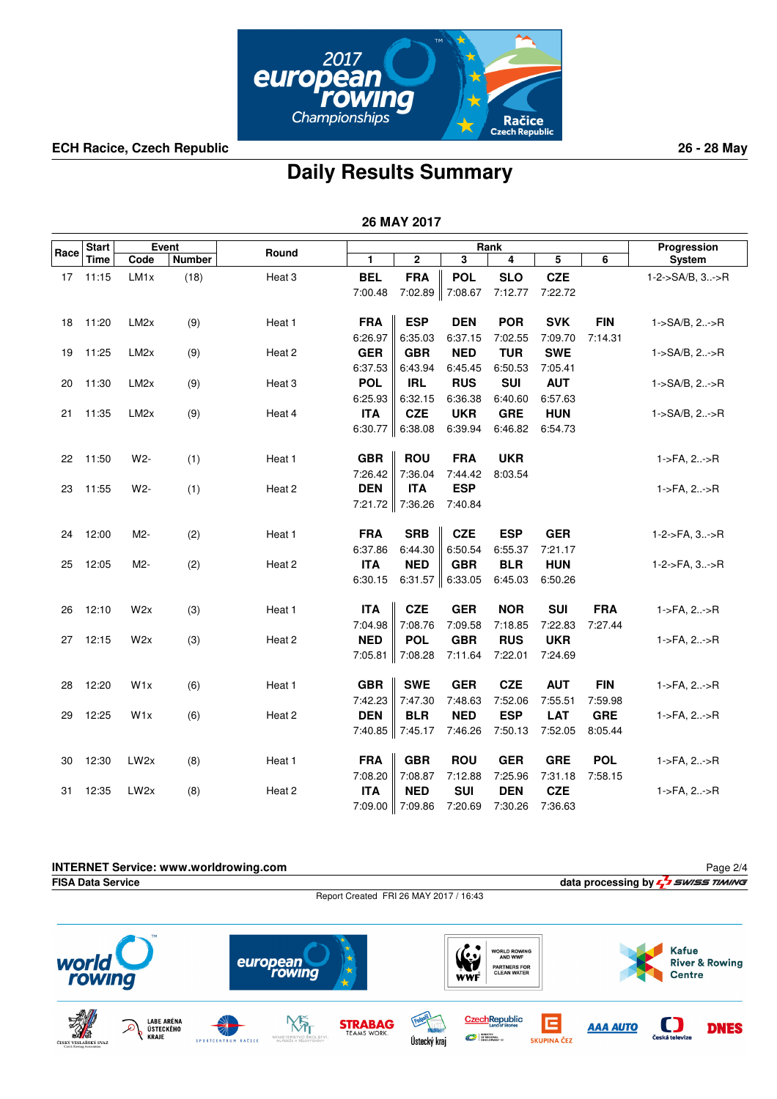

## **Daily Results Summary**

 **26 MAY 2017**

|      | <b>Start</b> | Event             |               |        |            | Rank                 |            |            | Progression |            |                        |
|------|--------------|-------------------|---------------|--------|------------|----------------------|------------|------------|-------------|------------|------------------------|
| Race | Time         | Code              | <b>Number</b> | Round  | 1          | $\mathbf 2$          | 3          | 4          | 5           | 6          | System                 |
| 17   | 11:15        | LM1x              | (18)          | Heat 3 | <b>BEL</b> | <b>FRA</b>           | <b>POL</b> | <b>SLO</b> | <b>CZE</b>  |            | 1-2->SA/B, 3->R        |
|      |              |                   |               |        | 7:00.48    | 7:02.89 7:08.67      |            | 7:12.77    | 7:22.72     |            |                        |
|      |              |                   |               |        |            |                      |            |            |             |            |                        |
| 18   | 11:20        | LM <sub>2x</sub>  | (9)           | Heat 1 | <b>FRA</b> | <b>ESP</b>           | <b>DEN</b> | <b>POR</b> | <b>SVK</b>  | <b>FIN</b> | 1->SA/B, 2->R          |
|      |              |                   |               |        | 6:26.97    | 6:35.03              | 6:37.15    | 7:02.55    | 7:09.70     | 7:14.31    |                        |
| 19   | 11:25        | LM <sub>2x</sub>  | (9)           | Heat 2 | <b>GER</b> | <b>GBR</b>           | <b>NED</b> | <b>TUR</b> | <b>SWE</b>  |            | 1->SA/B, 2->R          |
|      |              |                   |               |        | 6:37.53    | 6:43.94              | 6:45.45    | 6:50.53    | 7:05.41     |            |                        |
| 20   | 11:30        | LM <sub>2</sub> x | (9)           | Heat 3 | <b>POL</b> | <b>IRL</b>           | <b>RUS</b> | <b>SUI</b> | <b>AUT</b>  |            | 1->SA/B, 2->R          |
|      |              |                   |               |        | 6:25.93    | 6:32.15              | 6:36.38    | 6:40.60    | 6:57.63     |            |                        |
| 21   | 11:35        | LM <sub>2x</sub>  | (9)           | Heat 4 | <b>ITA</b> | <b>CZE</b>           | <b>UKR</b> | <b>GRE</b> | <b>HUN</b>  |            | 1->SA/B, 2->R          |
|      |              |                   |               |        |            | 6:30.77 $\ $ 6:38.08 | 6:39.94    | 6:46.82    | 6:54.73     |            |                        |
|      |              |                   |               |        |            |                      |            |            |             |            |                        |
| 22   | 11:50        | W2-               | (1)           | Heat 1 | <b>GBR</b> | <b>ROU</b>           | <b>FRA</b> | <b>UKR</b> |             |            | $1 - > FA$ , $2 - > R$ |
|      |              |                   |               |        | 7:26.42    | 7:36.04              | 7:44.42    | 8:03.54    |             |            |                        |
| 23   | 11:55        | W2-               | (1)           | Heat 2 | <b>DEN</b> | <b>ITA</b>           | <b>ESP</b> |            |             |            | $1 - > FA$ , $2 - > R$ |
|      |              |                   |               |        |            | 7:21.72 7:36.26      | 7:40.84    |            |             |            |                        |
|      |              |                   |               |        |            |                      |            |            |             |            |                        |
| 24   | 12:00        | M2-               | (2)           | Heat 1 | <b>FRA</b> | <b>SRB</b>           | <b>CZE</b> | <b>ESP</b> | <b>GER</b>  |            | 1-2->FA, 3->R          |
|      |              |                   |               |        | 6:37.86    | 6:44.30              | 6:50.54    | 6:55.37    | 7:21.17     |            |                        |
| 25   | 12:05        | M2-               | (2)           | Heat 2 | <b>ITA</b> | <b>NED</b>           | <b>GBR</b> | <b>BLR</b> | <b>HUN</b>  |            | 1-2->FA, 3->R          |
|      |              |                   |               |        | 6:30.15    | 6:31.57 $\ $ 6:33.05 |            | 6:45.03    | 6:50.26     |            |                        |
| 26   | 12:10        | W2x               | (3)           | Heat 1 | <b>ITA</b> | <b>CZE</b>           | <b>GER</b> | <b>NOR</b> | <b>SUI</b>  | <b>FRA</b> | $1 - FA$ , $2 - F$     |
|      |              |                   |               |        | 7:04.98    | 7:08.76              | 7:09.58    | 7:18.85    | 7:22.83     | 7:27.44    |                        |
| 27   | 12:15        | W2x               | (3)           | Heat 2 | <b>NED</b> | <b>POL</b>           | <b>GBR</b> | <b>RUS</b> | <b>UKR</b>  |            | 1->FA, 2->R            |
|      |              |                   |               |        | 7:05.81    | $\parallel$ 7:08.28  | 7:11.64    | 7:22.01    | 7:24.69     |            |                        |
|      |              |                   |               |        |            |                      |            |            |             |            |                        |
| 28   | 12:20        | W <sub>1x</sub>   | (6)           | Heat 1 | <b>GBR</b> | <b>SWE</b>           | <b>GER</b> | <b>CZE</b> | <b>AUT</b>  | <b>FIN</b> | 1->FA, 2->R            |
|      |              |                   |               |        | 7:42.23    | 7:47.30              | 7:48.63    | 7:52.06    | 7:55.51     | 7:59.98    |                        |
| 29   | 12:25        | W <sub>1x</sub>   | (6)           | Heat 2 | <b>DEN</b> | <b>BLR</b>           | <b>NED</b> | <b>ESP</b> | <b>LAT</b>  | <b>GRE</b> | 1->FA, 2->R            |
|      |              |                   |               |        |            | 7:40.85 7:45.17      | 7:46.26    | 7:50.13    | 7:52.05     | 8:05.44    |                        |
|      |              |                   |               |        |            |                      |            |            |             |            |                        |
| 30   | 12:30        | LW <sub>2x</sub>  | (8)           | Heat 1 | <b>FRA</b> | <b>GBR</b>           | <b>ROU</b> | <b>GER</b> | <b>GRE</b>  | <b>POL</b> | 1->FA, 2->R            |
|      |              |                   |               |        | 7:08.20    | 7:08.87              | 7:12.88    | 7:25.96    | 7:31.18     | 7:58.15    |                        |
| 31   | 12:35        | LW <sub>2x</sub>  | (8)           | Heat 2 | <b>ITA</b> | <b>NED</b>           | <b>SUI</b> | <b>DEN</b> | <b>CZE</b>  |            | 1->FA, 2->R            |
|      |              |                   |               |        |            | 7:09.00 7:09.86      | 7:20.69    | 7:30.26    | 7:36.63     |            |                        |

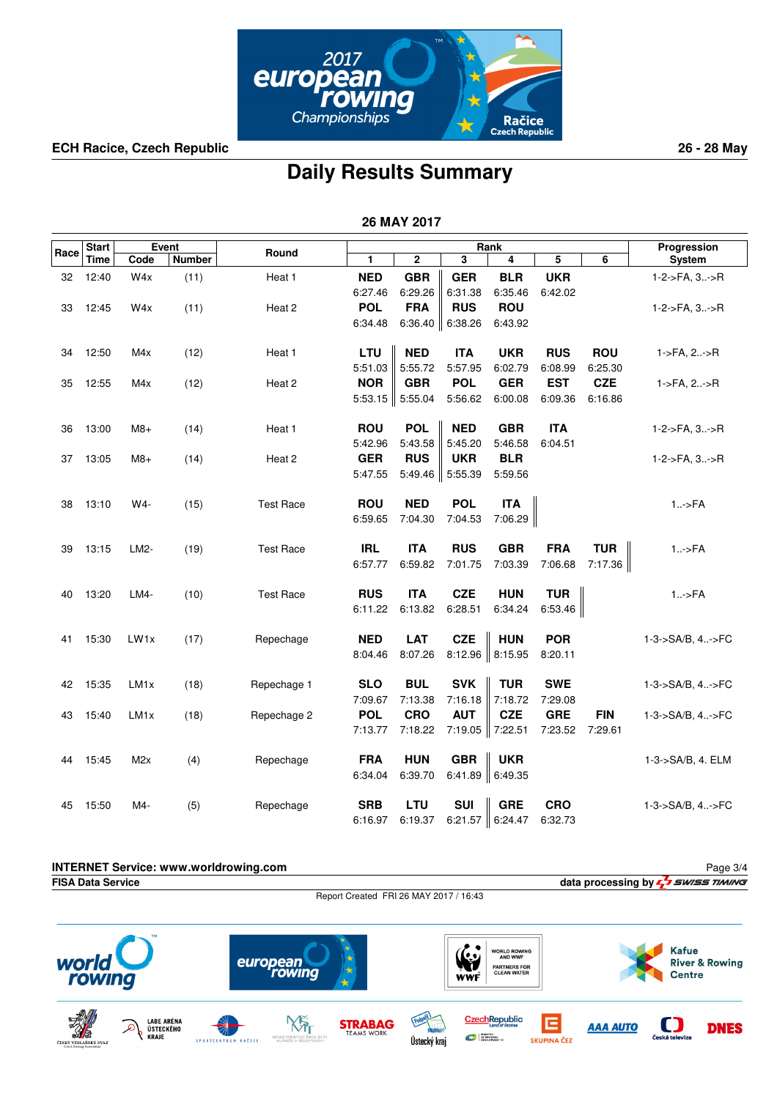

## **Daily Results Summary**

|      | 26 MAY 2017  |                  |               |                  |            |             |                      |            |                         |            |                             |
|------|--------------|------------------|---------------|------------------|------------|-------------|----------------------|------------|-------------------------|------------|-----------------------------|
|      | <b>Start</b> |                  | Event         |                  |            |             |                      | Rank       |                         |            | Progression                 |
| Race | <b>Time</b>  | Code             | <b>Number</b> | Round            | 1          | $\mathbf 2$ | 3                    | 4          | $\overline{\mathbf{5}}$ | 6          | System                      |
| 32   | 12:40        | W4x              | (11)          | Heat 1           | <b>NED</b> | <b>GBR</b>  | <b>GER</b>           | <b>BLR</b> | <b>UKR</b>              |            | $1-2$ ->FA, $3$ ->R         |
|      |              |                  |               |                  | 6:27.46    | 6:29.26     | 6:31.38              | 6:35.46    | 6:42.02                 |            |                             |
| 33   | 12:45        | W <sub>4x</sub>  | (11)          | Heat 2           | <b>POL</b> | <b>FRA</b>  | <b>RUS</b>           | <b>ROU</b> |                         |            | 1-2->FA, 3->R               |
|      |              |                  |               |                  | 6:34.48    |             | 6:36.40 $\ $ 6:38.26 | 6:43.92    |                         |            |                             |
| 34   | 12:50        | M4x              | (12)          | Heat 1           | LTU        | <b>NED</b>  | <b>ITA</b>           | <b>UKR</b> | <b>RUS</b>              | <b>ROU</b> | $1 - > FA$ , $2 - > R$      |
|      |              |                  |               |                  | 5:51.03    | 5:55.72     | 5:57.95              | 6:02.79    | 6:08.99                 | 6:25.30    |                             |
| 35   | 12:55        | M4x              | (12)          | Heat 2           | <b>NOR</b> | <b>GBR</b>  | <b>POL</b>           | <b>GER</b> | <b>EST</b>              | <b>CZE</b> | 1->FA, 2->R                 |
|      |              |                  |               |                  | 5:53.15    | 5:55.04     | 5:56.62              | 6:00.08    | 6:09.36                 | 6:16.86    |                             |
| 36   | 13:00        | $M8+$            | (14)          | Heat 1           | <b>ROU</b> | <b>POL</b>  | <b>NED</b>           | <b>GBR</b> | <b>ITA</b>              |            | 1-2->FA, 3->R               |
|      |              |                  |               |                  | 5:42.96    | 5:43.58     | 5:45.20              | 5:46.58    | 6:04.51                 |            |                             |
| 37   | 13:05        | $M8+$            | (14)          | Heat 2           | <b>GER</b> | <b>RUS</b>  | <b>UKR</b>           | <b>BLR</b> |                         |            | 1-2->FA, 3->R               |
|      |              |                  |               |                  | 5:47.55    |             | 5:49.46 5:55.39      | 5:59.56    |                         |            |                             |
| 38   | 13:10        | W4-              | (15)          | <b>Test Race</b> | <b>ROU</b> | <b>NED</b>  | <b>POL</b>           | <b>ITA</b> |                         |            | $1.-$ >FA                   |
|      |              |                  |               |                  | 6:59.65    | 7:04.30     | 7:04.53              | 7:06.29    |                         |            |                             |
| 39   | 13:15        | LM2-             | (19)          | <b>Test Race</b> | <b>IRL</b> | <b>ITA</b>  | <b>RUS</b>           | <b>GBR</b> | <b>FRA</b>              | <b>TUR</b> | $1.-$ >FA                   |
|      |              |                  |               |                  | 6:57.77    | 6:59.82     | 7:01.75              | 7:03.39    | 7:06.68                 | 7:17.36    |                             |
| 40   | 13:20        | LM4-             | (10)          | <b>Test Race</b> | <b>RUS</b> | <b>ITA</b>  | <b>CZE</b>           | <b>HUN</b> | <b>TUR</b>              |            | $1.-$ >FA                   |
|      |              |                  |               |                  | 6:11.22    | 6:13.82     | 6:28.51              | 6:34.24    | 6:53.46                 |            |                             |
| 41   | 15:30        | LW <sub>1x</sub> | (17)          | Repechage        | <b>NED</b> | <b>LAT</b>  | <b>CZE</b>           | <b>HUN</b> | <b>POR</b>              |            | $1 - 3 - S A/B$ , $4 - F C$ |
|      |              |                  |               |                  | 8:04.46    | 8:07.26     | 8:12.96              | 8:15.95    | 8:20.11                 |            |                             |
| 42   | 15:35        | LM <sub>1x</sub> | (18)          | Repechage 1      | <b>SLO</b> | <b>BUL</b>  | <b>SVK</b>           | <b>TUR</b> | <b>SWE</b>              |            | 1-3->SA/B, 4->FC            |
|      |              |                  |               |                  | 7:09.67    | 7:13.38     | 7:16.18              | 7:18.72    | 7:29.08                 |            |                             |
| 43   | 15:40        | LM <sub>1x</sub> | (18)          | Repechage 2      | <b>POL</b> | <b>CRO</b>  | <b>AUT</b>           | <b>CZE</b> | <b>GRE</b>              | <b>FIN</b> | 1-3->SA/B, 4->FC            |
|      |              |                  |               |                  | 7:13.77    | 7:18.22     | 7:19.05              | 7:22.51    | 7:23.52                 | 7:29.61    |                             |
| 44   | 15:45        | M2x              | (4)           | Repechage        | <b>FRA</b> | <b>HUN</b>  | <b>GBR</b>           | <b>UKR</b> |                         |            | 1-3->SA/B, 4. ELM           |
|      |              |                  |               |                  | 6:34.04    | 6:39.70     | 6:41.89              | 6:49.35    |                         |            |                             |
| 45   | 15:50        | M4-              | (5)           | Repechage        | <b>SRB</b> | LTU         | <b>SUI</b>           | <b>GRE</b> | <b>CRO</b>              |            | 1-3->SA/B, 4->FC            |
|      |              |                  |               |                  | 6:16.97    | 6:19.37     | 6:21.57              | 6:24.47    | 6:32.73                 |            |                             |

**INTERNET Service: www.worldrowing.com** Page 3/4data processing by  $\frac{1}{2}$  **SWISS TIMING** Report Created FRI 26 MAY 2017 / 16:43  $\bullet$ **Kafue WORLD ROWING<br>AND WWF**  $\mathbf{G}$ world european **River & Rowing PARTNERS FOR<br>CLEAN WATER Centre** rowina **WWF** 



 $\mathcal{L}$ 







Е

SKUPINA ČEZ

**AAA AUTO** 

O

Česká televi:

**DNES**